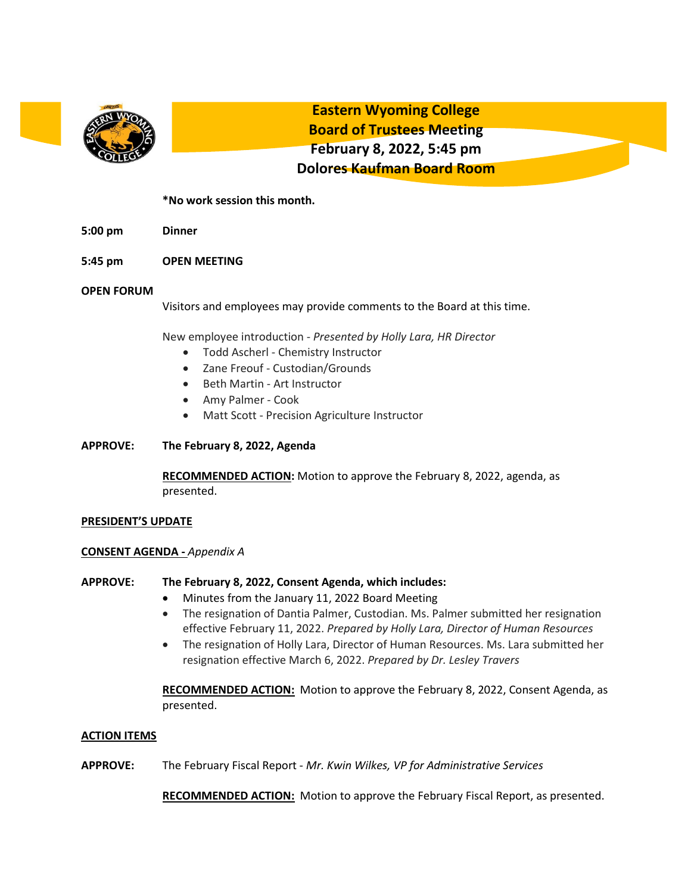

**Eastern Wyoming College Board of Trustees Meeting February 8, 2022, 5:45 pm Dolores Kaufman Board Room**

# **\*No work session this month.**

- **5:00 pm Dinner**
- **5:45 pm OPEN MEETING**

### **OPEN FORUM**

Visitors and employees may provide comments to the Board at this time.

New employee introduction - *Presented by Holly Lara, HR Director*

- Todd Ascherl Chemistry Instructor
- Zane Freouf Custodian/Grounds
- Beth Martin Art Instructor
- Amy Palmer Cook
- Matt Scott Precision Agriculture Instructor
- **APPROVE: The February 8, 2022, Agenda**

**RECOMMENDED ACTION:** Motion to approve the February 8, 2022, agenda, as presented.

### **PRESIDENT'S UPDATE**

### **CONSENT AGENDA -** *Appendix A*

### **APPROVE: The February 8, 2022, Consent Agenda, which includes:**

- Minutes from the January 11, 2022 Board Meeting
- The resignation of Dantia Palmer, Custodian. Ms. Palmer submitted her resignation effective February 11, 2022. *Prepared by Holly Lara, Director of Human Resources*
- The resignation of Holly Lara, Director of Human Resources. Ms. Lara submitted her resignation effective March 6, 2022. *Prepared by Dr. Lesley Travers*

**RECOMMENDED ACTION:** Motion to approve the February 8, 2022, Consent Agenda, as presented.

### **ACTION ITEMS**

**APPROVE:** The February Fiscal Report - *Mr. Kwin Wilkes, VP for Administrative Services*

**RECOMMENDED ACTION:** Motion to approve the February Fiscal Report, as presented.